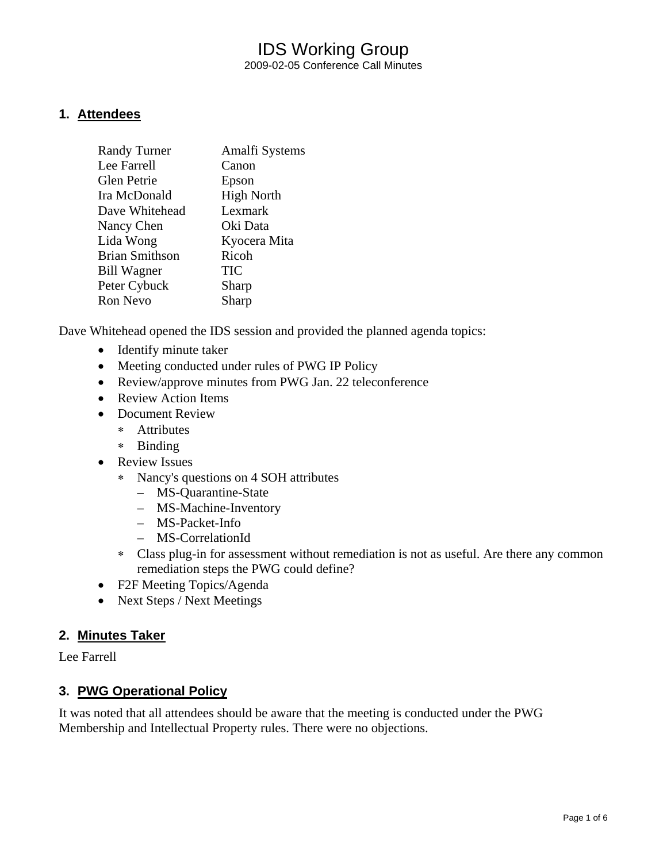### IDS Working Group 2009-02-05 Conference Call Minutes

### **1. Attendees**

| <b>Randy Turner</b>   | Amalfi Systems    |
|-----------------------|-------------------|
| Lee Farrell           | Canon             |
| <b>Glen Petrie</b>    | Epson             |
| Ira McDonald          | <b>High North</b> |
| Dave Whitehead        | Lexmark           |
| Nancy Chen            | Oki Data          |
| Lida Wong             | Kyocera Mita      |
| <b>Brian Smithson</b> | Ricoh             |
| <b>Bill Wagner</b>    | <b>TIC</b>        |
| Peter Cybuck          | Sharp             |
| <b>Ron Nevo</b>       | Sharp             |
|                       |                   |

Dave Whitehead opened the IDS session and provided the planned agenda topics:

- Identify minute taker
- Meeting conducted under rules of PWG IP Policy
- Review/approve minutes from PWG Jan. 22 teleconference
- Review Action Items
- Document Review
	- ∗ Attributes
	- ∗ Binding
- Review Issues
	- ∗ Nancy's questions on 4 SOH attributes
		- MS-Quarantine-State
		- MS-Machine-Inventory
		- MS-Packet-Info
		- MS-CorrelationId
	- ∗ Class plug-in for assessment without remediation is not as useful. Are there any common remediation steps the PWG could define?
- F2F Meeting Topics/Agenda
- Next Steps / Next Meetings

#### **2. Minutes Taker**

Lee Farrell

### **3. PWG Operational Policy**

It was noted that all attendees should be aware that the meeting is conducted under the PWG Membership and Intellectual Property rules. There were no objections.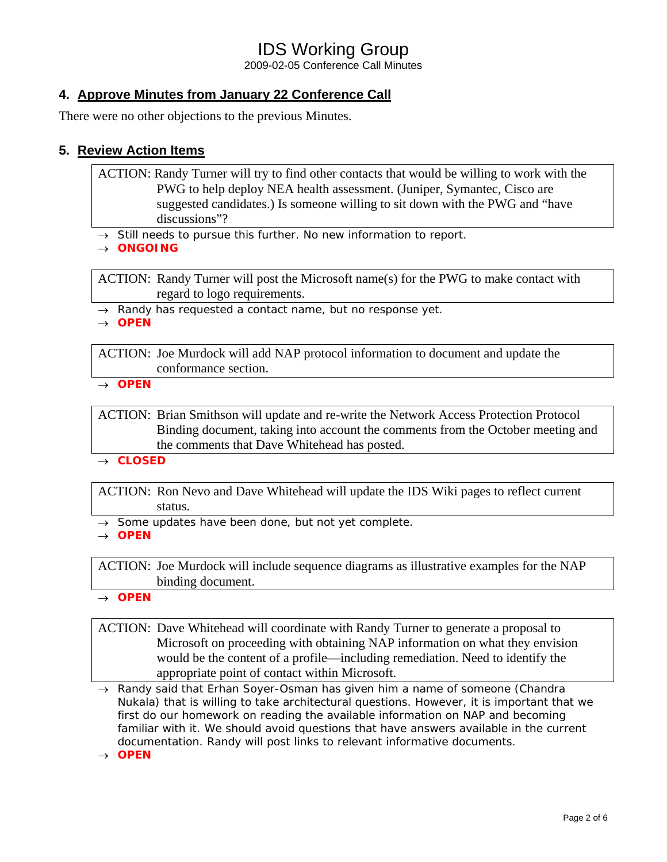2009-02-05 Conference Call Minutes

### **4. Approve Minutes from January 22 Conference Call**

There were no other objections to the previous Minutes.

### **5. Review Action Items**

ACTION: Randy Turner will try to find other contacts that would be willing to work with the PWG to help deploy NEA health assessment. (Juniper, Symantec, Cisco are suggested candidates.) Is someone willing to sit down with the PWG and "have discussions"?

→ *Still needs to pursue this further. No new information to report.* 

→ *ONGOING*

ACTION: Randy Turner will post the Microsoft name(s) for the PWG to make contact with regard to logo requirements.

→ *Randy has requested a contact name, but no response yet.* 

→ *OPEN* 

ACTION: Joe Murdock will add NAP protocol information to document and update the conformance section.

→ *OPEN* 

ACTION: Brian Smithson will update and re-write the Network Access Protection Protocol Binding document, taking into account the comments from the October meeting and the comments that Dave Whitehead has posted.

→ *CLOSED* 

ACTION: Ron Nevo and Dave Whitehead will update the IDS Wiki pages to reflect current status.

→ *Some updates have been done, but not yet complete.* 

→ *OPEN* 

ACTION: Joe Murdock will include sequence diagrams as illustrative examples for the NAP binding document.

→ *OPEN* 

ACTION: Dave Whitehead will coordinate with Randy Turner to generate a proposal to Microsoft on proceeding with obtaining NAP information on what they envision would be the content of a profile—including remediation. Need to identify the appropriate point of contact within Microsoft.

→ *Randy said that Erhan Soyer-Osman has given him a name of someone (Chandra Nukala) that is willing to take architectural questions. However, it is important that we first do our homework on reading the available information on NAP and becoming*  familiar with it. We should avoid questions that have answers available in the current *documentation. Randy will post links to relevant informative documents.* 

→ *OPEN*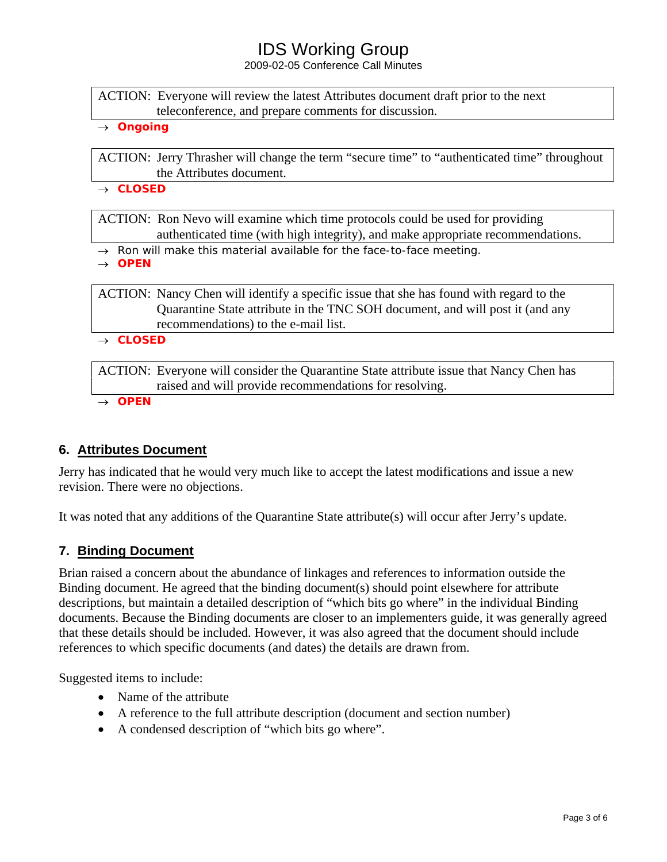2009-02-05 Conference Call Minutes

ACTION: Everyone will review the latest Attributes document draft prior to the next teleconference, and prepare comments for discussion.

→ *Ongoing* 

ACTION: Jerry Thrasher will change the term "secure time" to "authenticated time" throughout the Attributes document.

→ *CLOSED* 

ACTION: Ron Nevo will examine which time protocols could be used for providing authenticated time (with high integrity), and make appropriate recommendations.

→ *Ron will make this material available for the face-to-face meeting.* 

→ *OPEN*

ACTION: Nancy Chen will identify a specific issue that she has found with regard to the Quarantine State attribute in the TNC SOH document, and will post it (and any recommendations) to the e-mail list.

→ *CLOSED*

ACTION: Everyone will consider the Quarantine State attribute issue that Nancy Chen has raised and will provide recommendations for resolving.

→ *OPEN*

### **6. Attributes Document**

Jerry has indicated that he would very much like to accept the latest modifications and issue a new revision. There were no objections.

It was noted that any additions of the Quarantine State attribute(s) will occur after Jerry's update.

### **7. Binding Document**

Brian raised a concern about the abundance of linkages and references to information outside the Binding document. He agreed that the binding document(s) should point elsewhere for attribute descriptions, but maintain a detailed description of "which bits go where" in the individual Binding documents. Because the Binding documents are closer to an implementers guide, it was generally agreed that these details should be included. However, it was also agreed that the document should include references to which specific documents (and dates) the details are drawn from.

Suggested items to include:

- Name of the attribute
- A reference to the full attribute description (document and section number)
- A condensed description of "which bits go where".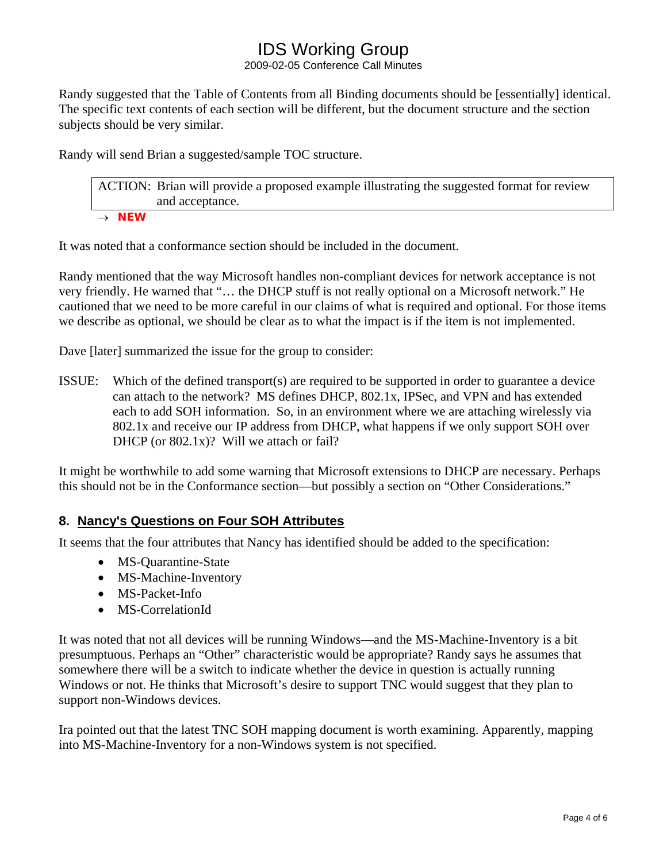2009-02-05 Conference Call Minutes

Randy suggested that the Table of Contents from all Binding documents should be [essentially] identical. The specific text contents of each section will be different, but the document structure and the section subjects should be very similar.

Randy will send Brian a suggested/sample TOC structure.

ACTION: Brian will provide a proposed example illustrating the suggested format for review and acceptance. → *NEW* 

It was noted that a conformance section should be included in the document.

Randy mentioned that the way Microsoft handles non-compliant devices for network acceptance is not very friendly. He warned that "… the DHCP stuff is not really optional on a Microsoft network." He cautioned that we need to be more careful in our claims of what is required and optional. For those items we describe as optional, we should be clear as to what the impact is if the item is not implemented.

Dave [later] summarized the issue for the group to consider:

ISSUE: Which of the defined transport(s) are required to be supported in order to guarantee a device can attach to the network? MS defines DHCP, 802.1x, IPSec, and VPN and has extended each to add SOH information. So, in an environment where we are attaching wirelessly via 802.1x and receive our IP address from DHCP, what happens if we only support SOH over DHCP (or 802.1x)? Will we attach or fail?

It might be worthwhile to add some warning that Microsoft extensions to DHCP are necessary. Perhaps this should not be in the Conformance section—but possibly a section on "Other Considerations."

### **8. Nancy's Questions on Four SOH Attributes**

It seems that the four attributes that Nancy has identified should be added to the specification:

- MS-Quarantine-State
- MS-Machine-Inventory
- MS-Packet-Info
- MS-CorrelationId

It was noted that not all devices will be running Windows—and the MS-Machine-Inventory is a bit presumptuous. Perhaps an "Other" characteristic would be appropriate? Randy says he assumes that somewhere there will be a switch to indicate whether the device in question is actually running Windows or not. He thinks that Microsoft's desire to support TNC would suggest that they plan to support non-Windows devices.

Ira pointed out that the latest TNC SOH mapping document is worth examining. Apparently, mapping into MS-Machine-Inventory for a non-Windows system is not specified.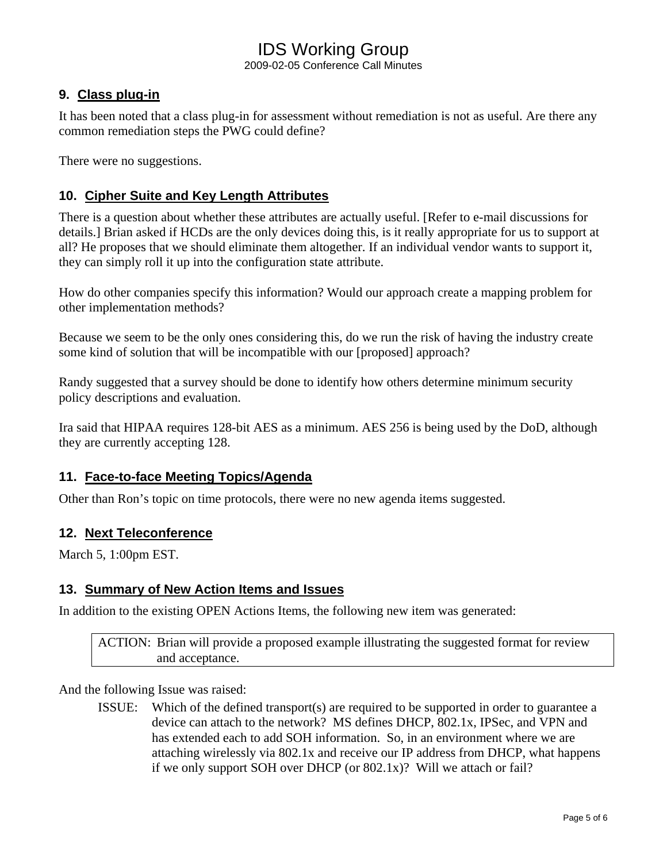2009-02-05 Conference Call Minutes

### **9. Class plug-in**

It has been noted that a class plug-in for assessment without remediation is not as useful. Are there any common remediation steps the PWG could define?

There were no suggestions.

### **10. Cipher Suite and Key Length Attributes**

There is a question about whether these attributes are actually useful. [Refer to e-mail discussions for details.] Brian asked if HCDs are the only devices doing this, is it really appropriate for us to support at all? He proposes that we should eliminate them altogether. If an individual vendor wants to support it, they can simply roll it up into the configuration state attribute.

How do other companies specify this information? Would our approach create a mapping problem for other implementation methods?

Because we seem to be the only ones considering this, do we run the risk of having the industry create some kind of solution that will be incompatible with our [proposed] approach?

Randy suggested that a survey should be done to identify how others determine minimum security policy descriptions and evaluation.

Ira said that HIPAA requires 128-bit AES as a minimum. AES 256 is being used by the DoD, although they are currently accepting 128.

#### **11. Face-to-face Meeting Topics/Agenda**

Other than Ron's topic on time protocols, there were no new agenda items suggested.

#### **12. Next Teleconference**

March 5, 1:00pm EST.

#### **13. Summary of New Action Items and Issues**

In addition to the existing OPEN Actions Items, the following new item was generated:

ACTION: Brian will provide a proposed example illustrating the suggested format for review and acceptance.

And the following Issue was raised:

ISSUE: Which of the defined transport(s) are required to be supported in order to guarantee a device can attach to the network? MS defines DHCP, 802.1x, IPSec, and VPN and has extended each to add SOH information. So, in an environment where we are attaching wirelessly via 802.1x and receive our IP address from DHCP, what happens if we only support SOH over DHCP (or 802.1x)? Will we attach or fail?